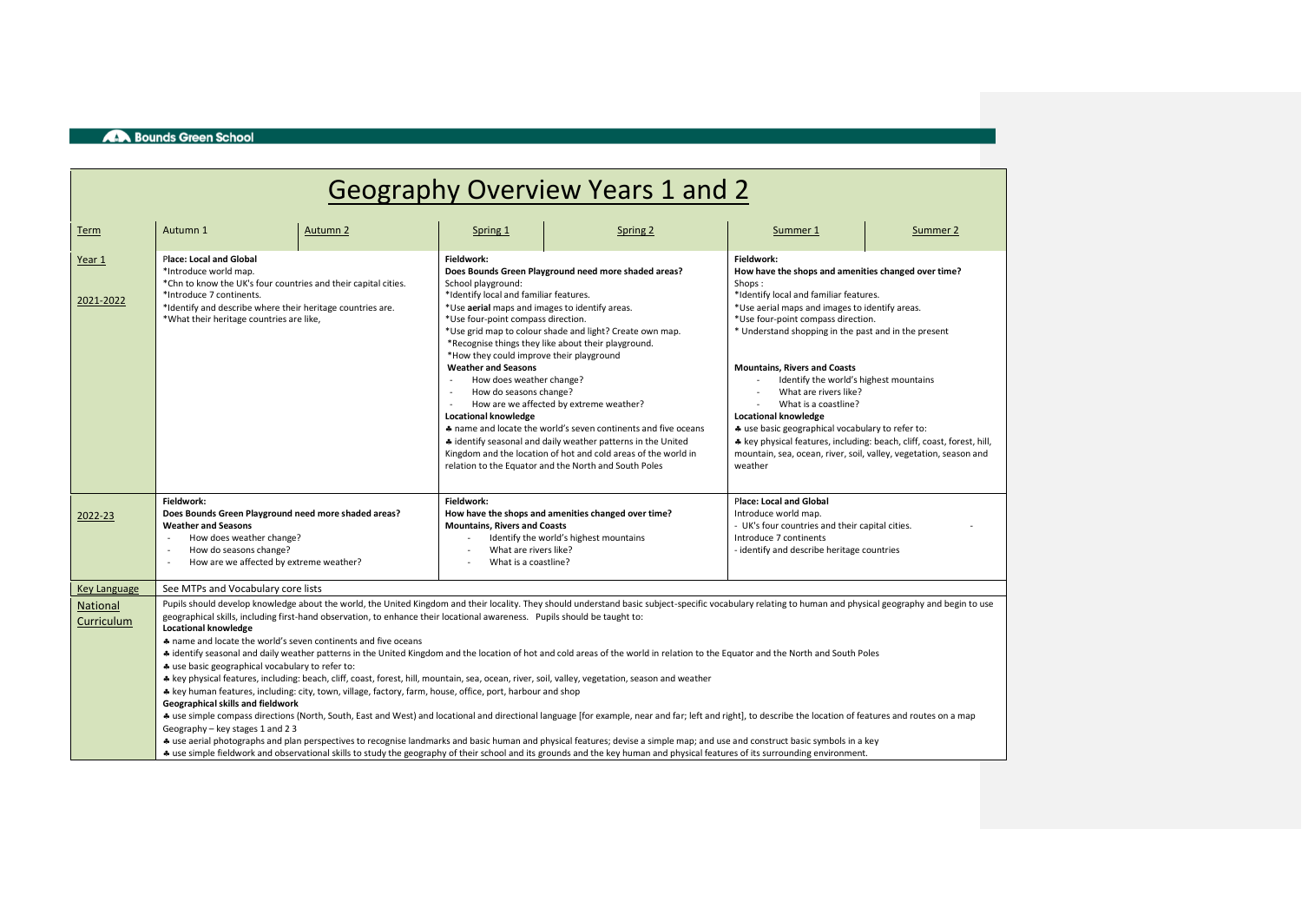# Geography Overview Years 1 and 2

| Term                   | Autumn 1                                                                                                                                                                                                                                                                                                                                                                                                                                                                                                                                                                                                                                                                                                                                                                                                                                                                                                                                                                                                                                                                                                                                                                                                                                                                                                                                                                                                                                                                                                                                                                                                        | Autumn 2 | Spring 1                                                                                                                                                                                                                                                                                                                          | Spring 2                                                                                                                                                                                                                                                                                                                                                                                                                                                                        | Summer 1                                                                                                                                                                                                                                                                                                                                                                                                                                                                                                                                                                                                                                             | Summer 2 |  |
|------------------------|-----------------------------------------------------------------------------------------------------------------------------------------------------------------------------------------------------------------------------------------------------------------------------------------------------------------------------------------------------------------------------------------------------------------------------------------------------------------------------------------------------------------------------------------------------------------------------------------------------------------------------------------------------------------------------------------------------------------------------------------------------------------------------------------------------------------------------------------------------------------------------------------------------------------------------------------------------------------------------------------------------------------------------------------------------------------------------------------------------------------------------------------------------------------------------------------------------------------------------------------------------------------------------------------------------------------------------------------------------------------------------------------------------------------------------------------------------------------------------------------------------------------------------------------------------------------------------------------------------------------|----------|-----------------------------------------------------------------------------------------------------------------------------------------------------------------------------------------------------------------------------------------------------------------------------------------------------------------------------------|---------------------------------------------------------------------------------------------------------------------------------------------------------------------------------------------------------------------------------------------------------------------------------------------------------------------------------------------------------------------------------------------------------------------------------------------------------------------------------|------------------------------------------------------------------------------------------------------------------------------------------------------------------------------------------------------------------------------------------------------------------------------------------------------------------------------------------------------------------------------------------------------------------------------------------------------------------------------------------------------------------------------------------------------------------------------------------------------------------------------------------------------|----------|--|
| Year 1<br>2021-2022    | <b>Place: Local and Global</b><br>*Introduce world map.<br>*Chn to know the UK's four countries and their capital cities.<br>*Introduce 7 continents.<br>*Identify and describe where their heritage countries are.<br>*What their heritage countries are like,                                                                                                                                                                                                                                                                                                                                                                                                                                                                                                                                                                                                                                                                                                                                                                                                                                                                                                                                                                                                                                                                                                                                                                                                                                                                                                                                                 |          | Fieldwork:<br>School playground:<br>*Identify local and familiar features.<br>*Use aerial maps and images to identify areas.<br>*Use four-point compass direction.<br>*How they could improve their playground<br><b>Weather and Seasons</b><br>How does weather change?<br>How do seasons change?<br><b>Locational knowledge</b> | Does Bounds Green Playground need more shaded areas?<br>*Use grid map to colour shade and light? Create own map.<br>*Recognise things they like about their playground.<br>How are we affected by extreme weather?<br>A name and locate the world's seven continents and five oceans<br># identify seasonal and daily weather patterns in the United<br>Kingdom and the location of hot and cold areas of the world in<br>relation to the Equator and the North and South Poles | Fieldwork:<br>How have the shops and amenities changed over time?<br>Shops:<br>*Identify local and familiar features.<br>*Use aerial maps and images to identify areas.<br>*Use four-point compass direction.<br>* Understand shopping in the past and in the present<br><b>Mountains, Rivers and Coasts</b><br>Identify the world's highest mountains<br>What are rivers like?<br>What is a coastline?<br><b>Locational knowledge</b><br>* use basic geographical vocabulary to refer to:<br>* key physical features, including: beach, cliff, coast, forest, hill,<br>mountain, sea, ocean, river, soil, valley, vegetation, season and<br>weather |          |  |
| 2022-23                | Fieldwork:<br>Does Bounds Green Playground need more shaded areas?<br><b>Weather and Seasons</b><br>How does weather change?<br>How do seasons change?<br>How are we affected by extreme weather?<br>$\sim$                                                                                                                                                                                                                                                                                                                                                                                                                                                                                                                                                                                                                                                                                                                                                                                                                                                                                                                                                                                                                                                                                                                                                                                                                                                                                                                                                                                                     |          | Fieldwork:<br>How have the shops and amenities changed over time?<br><b>Mountains, Rivers and Coasts</b><br>Identify the world's highest mountains<br>What are rivers like?<br>What is a coastline?                                                                                                                               |                                                                                                                                                                                                                                                                                                                                                                                                                                                                                 | <b>Place: Local and Global</b><br>Introduce world map.<br>- UK's four countries and their capital cities.<br>Introduce 7 continents<br>- identify and describe heritage countries                                                                                                                                                                                                                                                                                                                                                                                                                                                                    |          |  |
| <b>Key Language</b>    | See MTPs and Vocabulary core lists                                                                                                                                                                                                                                                                                                                                                                                                                                                                                                                                                                                                                                                                                                                                                                                                                                                                                                                                                                                                                                                                                                                                                                                                                                                                                                                                                                                                                                                                                                                                                                              |          |                                                                                                                                                                                                                                                                                                                                   |                                                                                                                                                                                                                                                                                                                                                                                                                                                                                 |                                                                                                                                                                                                                                                                                                                                                                                                                                                                                                                                                                                                                                                      |          |  |
| National<br>Curriculum | Pupils should develop knowledge about the world, the United Kingdom and their locality. They should understand basic subject-specific vocabulary relating to human and physical geography and begin to use<br>geographical skills, including first-hand observation, to enhance their locational awareness. Pupils should be taught to:<br><b>Locational knowledge</b><br>* name and locate the world's seven continents and five oceans<br>+ identify seasonal and daily weather patterns in the United Kingdom and the location of hot and cold areas of the world in relation to the Equator and the North and South Poles<br>* use basic geographical vocabulary to refer to:<br>* key physical features, including: beach, cliff, coast, forest, hill, mountain, sea, ocean, river, soil, valley, vegetation, season and weather<br>* key human features, including: city, town, village, factory, farm, house, office, port, harbour and shop<br>Geographical skills and fieldwork<br>+ use simple compass directions (North, South, East and West) and locational and directional language [for example, near and far; left and right], to describe the location of features and routes on a map<br>Geography - key stages 1 and 2 3<br>+ use aerial photographs and plan perspectives to recognise landmarks and basic human and physical features; devise a simple map; and use and construct basic symbols in a key<br>+ use simple fieldwork and observational skills to study the geography of their school and its grounds and the key human and physical features of its surrounding environment. |          |                                                                                                                                                                                                                                                                                                                                   |                                                                                                                                                                                                                                                                                                                                                                                                                                                                                 |                                                                                                                                                                                                                                                                                                                                                                                                                                                                                                                                                                                                                                                      |          |  |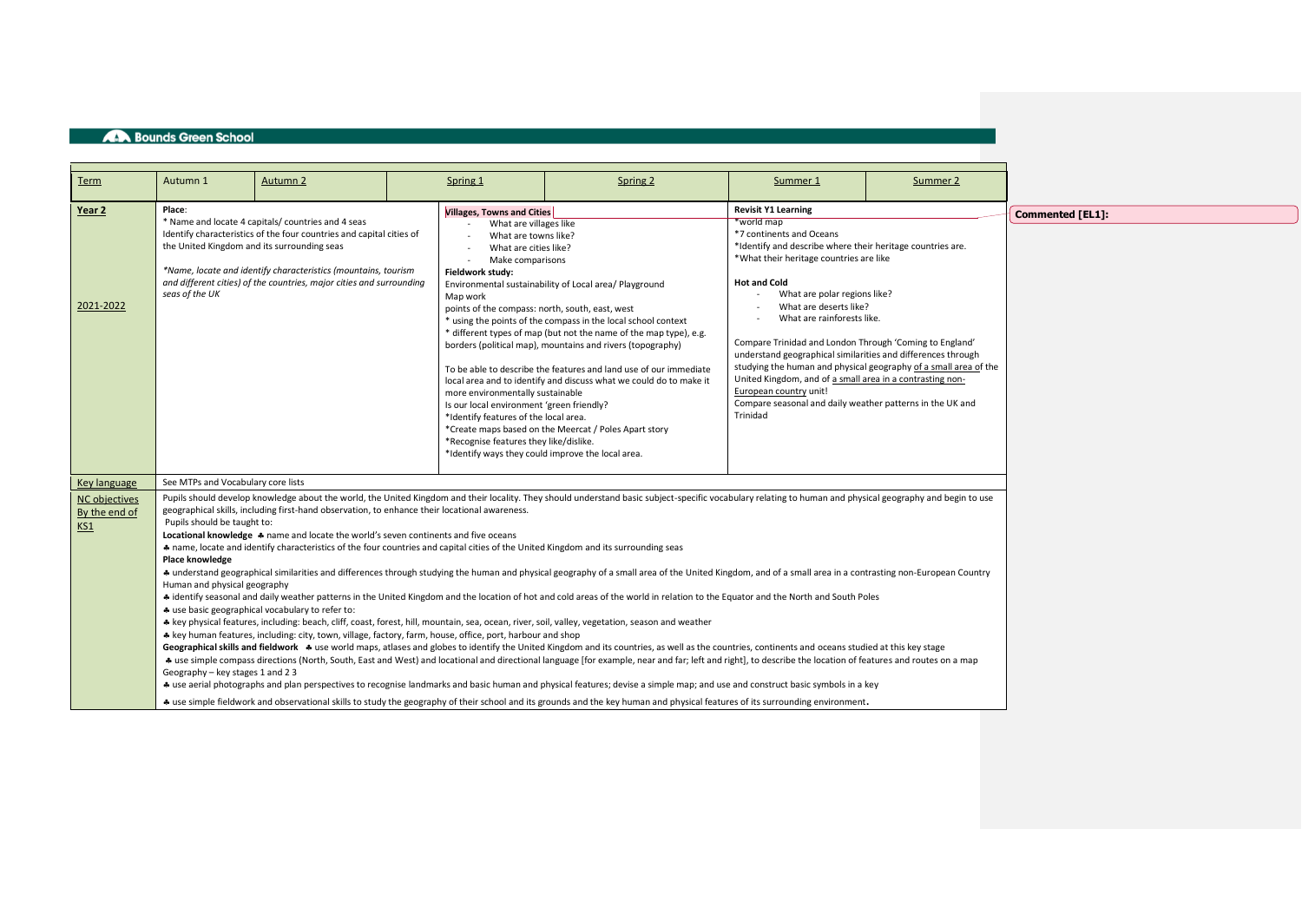| Term                                                  | Autumn 1                                                                                                                                                                                                                                                                                                                                                                                                                                                                                                                                                                                                                                                                                                                                                                                                                                                                                                                                                                                                                                                                                                                                                                                                                                                                                                                                                                                                                                                                                                                                                                                                                                                                                                                                                                                                                                                                                                                                                                                                                                                                                                                                                                                                               | Autumn 2 |  | Spring 1 | Spring 2 | Summer 1                                                                                                                                                                                                                                                                                                                                                                                                                                                                                                                                                                                                                                                    | Summer 2 |                  |
|-------------------------------------------------------|------------------------------------------------------------------------------------------------------------------------------------------------------------------------------------------------------------------------------------------------------------------------------------------------------------------------------------------------------------------------------------------------------------------------------------------------------------------------------------------------------------------------------------------------------------------------------------------------------------------------------------------------------------------------------------------------------------------------------------------------------------------------------------------------------------------------------------------------------------------------------------------------------------------------------------------------------------------------------------------------------------------------------------------------------------------------------------------------------------------------------------------------------------------------------------------------------------------------------------------------------------------------------------------------------------------------------------------------------------------------------------------------------------------------------------------------------------------------------------------------------------------------------------------------------------------------------------------------------------------------------------------------------------------------------------------------------------------------------------------------------------------------------------------------------------------------------------------------------------------------------------------------------------------------------------------------------------------------------------------------------------------------------------------------------------------------------------------------------------------------------------------------------------------------------------------------------------------------|----------|--|----------|----------|-------------------------------------------------------------------------------------------------------------------------------------------------------------------------------------------------------------------------------------------------------------------------------------------------------------------------------------------------------------------------------------------------------------------------------------------------------------------------------------------------------------------------------------------------------------------------------------------------------------------------------------------------------------|----------|------------------|
| Year 2<br>2021-2022                                   | Place:<br><b>Villages, Towns and Cities</b><br>* Name and locate 4 capitals/ countries and 4 seas<br>What are villages like<br>Identify characteristics of the four countries and capital cities of<br>What are towns like?<br>the United Kingdom and its surrounding seas<br>What are cities like?<br>Make comparisons<br>*Name, locate and identify characteristics (mountains, tourism<br>Fieldwork study:<br>and different cities) of the countries, major cities and surrounding<br>Environmental sustainability of Local area/ Playground<br>seas of the UK<br>Map work<br>points of the compass: north, south, east, west<br>* using the points of the compass in the local school context<br>* different types of map (but not the name of the map type), e.g.<br>borders (political map), mountains and rivers (topography)<br>To be able to describe the features and land use of our immediate<br>local area and to identify and discuss what we could do to make it<br>more environmentally sustainable<br>Is our local environment 'green friendly?<br>*Identify features of the local area.<br>*Create maps based on the Meercat / Poles Apart story<br>*Recognise features they like/dislike.<br>*Identify ways they could improve the local area.                                                                                                                                                                                                                                                                                                                                                                                                                                                                                                                                                                                                                                                                                                                                                                                                                                                                                                                                                      |          |  |          |          | <b>Revisit Y1 Learning</b><br>*world map<br>*7 continents and Oceans<br>*Identify and describe where their heritage countries are.<br>*What their heritage countries are like<br><b>Hot and Cold</b><br>What are polar regions like?<br>What are deserts like?<br>What are rainforests like.<br>Compare Trinidad and London Through 'Coming to England'<br>understand geographical similarities and differences through<br>studying the human and physical geography of a small area of the<br>United Kingdom, and of a small area in a contrasting non-<br>European country unit!<br>Compare seasonal and daily weather patterns in the UK and<br>Trinidad |          | Commented [EL1]: |
| Key language<br>NC objectives<br>By the end of<br>KS1 | See MTPs and Vocabulary core lists<br>Pupils should develop knowledge about the world, the United Kingdom and their locality. They should understand basic subject-specific vocabulary relating to human and physical geography and begin to use<br>geographical skills, including first-hand observation, to enhance their locational awareness.<br>Pupils should be taught to:<br>Locational knowledge * name and locate the world's seven continents and five oceans<br>* name, locate and identify characteristics of the four countries and capital cities of the United Kingdom and its surrounding seas<br>Place knowledge<br>+ understand geographical similarities and differences through studying the human and physical geography of a small area of the United Kingdom, and of a small area in a contrasting non-European Country<br>Human and physical geography<br>+ identify seasonal and daily weather patterns in the United Kingdom and the location of hot and cold areas of the world in relation to the Equator and the North and South Poles<br>* use basic geographical vocabulary to refer to:<br>* key physical features, including: beach, cliff, coast, forest, hill, mountain, sea, ocean, river, soil, valley, vegetation, season and weather<br>* key human features, including: city, town, village, factory, farm, house, office, port, harbour and shop<br>Geographical skills and fieldwork * use world maps, atlases and globes to identify the United Kingdom and its countries, as well as the countries, continents and oceans studied at this key stage<br>+ use simple compass directions (North, South, East and West) and locational and directional language [for example, near and far; left and right], to describe the location of features and routes on a map<br>Geography - key stages 1 and 2 3<br>+ use aerial photographs and plan perspectives to recognise landmarks and basic human and physical features; devise a simple map; and use and construct basic symbols in a key<br>+ use simple fieldwork and observational skills to study the geography of their school and its grounds and the key human and physical features of its surrounding environment. |          |  |          |          |                                                                                                                                                                                                                                                                                                                                                                                                                                                                                                                                                                                                                                                             |          |                  |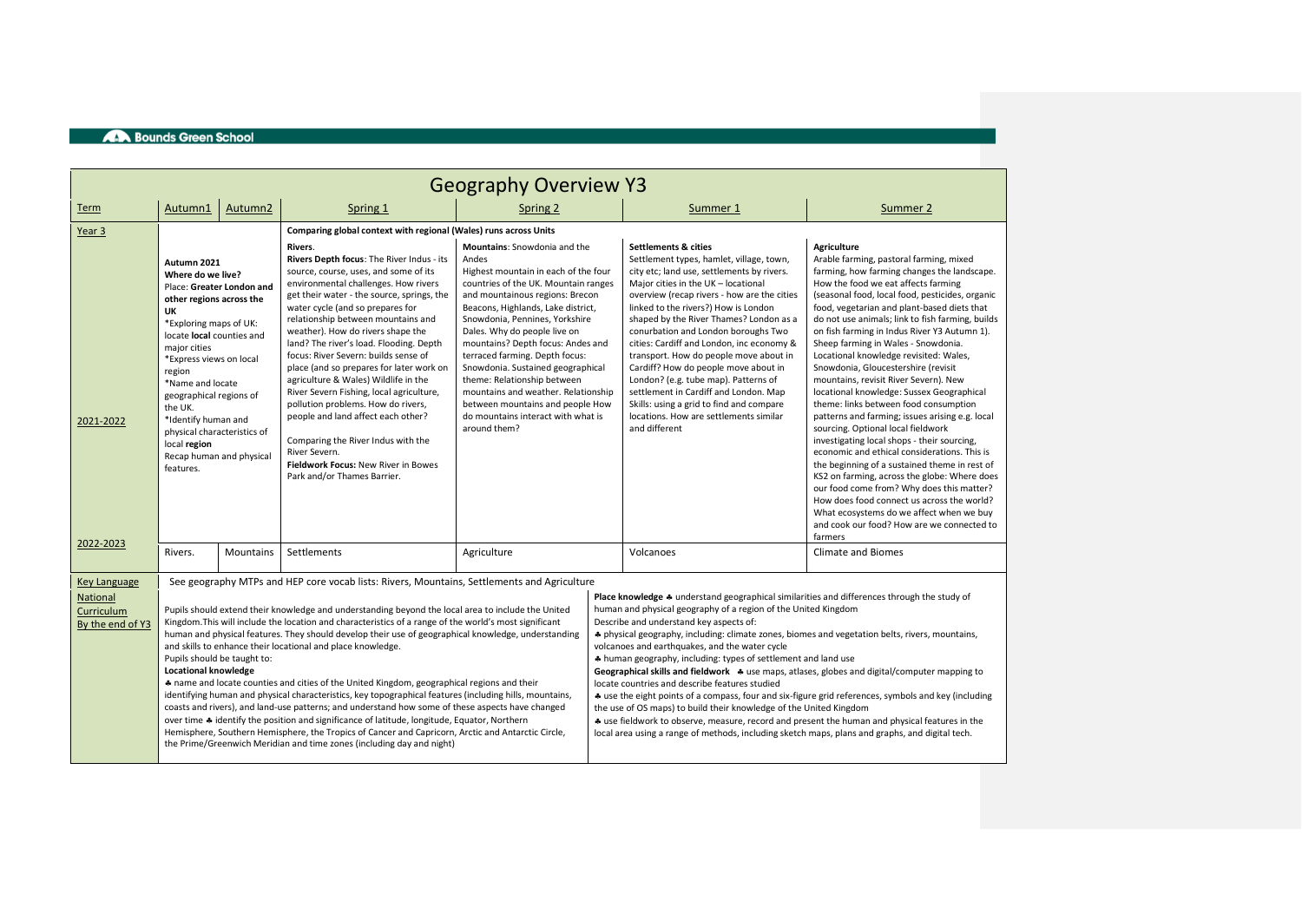|                                                   | <b>Geography Overview Y3</b>                                                                                                                                                                                                                                                                                                                                                                                                                                                                                                                                                                                                                                                                                                                                                                                                                                                                                                                                                                                                                            |                     |                                                                                                                                                                                                                                                                                                                                                                                                                                                                                                                                                                                                                                                                                                                                |                                                                                                                                                                                                                                                                                                                                                                                                                                                                                                                                                     |  |                                                                                                                                                                                                                                                                                                                                                                                                                                                                                                                                                                                                                                                                                                                                                                                                                                                                                                                                                                                           |                                                                                                                                                                                                                                                                                                                                                                                                                                                                                                                                                                                                                                                                                                                                                                                                                                                                                                                                                                                                                                                                                                           |  |  |  |
|---------------------------------------------------|---------------------------------------------------------------------------------------------------------------------------------------------------------------------------------------------------------------------------------------------------------------------------------------------------------------------------------------------------------------------------------------------------------------------------------------------------------------------------------------------------------------------------------------------------------------------------------------------------------------------------------------------------------------------------------------------------------------------------------------------------------------------------------------------------------------------------------------------------------------------------------------------------------------------------------------------------------------------------------------------------------------------------------------------------------|---------------------|--------------------------------------------------------------------------------------------------------------------------------------------------------------------------------------------------------------------------------------------------------------------------------------------------------------------------------------------------------------------------------------------------------------------------------------------------------------------------------------------------------------------------------------------------------------------------------------------------------------------------------------------------------------------------------------------------------------------------------|-----------------------------------------------------------------------------------------------------------------------------------------------------------------------------------------------------------------------------------------------------------------------------------------------------------------------------------------------------------------------------------------------------------------------------------------------------------------------------------------------------------------------------------------------------|--|-------------------------------------------------------------------------------------------------------------------------------------------------------------------------------------------------------------------------------------------------------------------------------------------------------------------------------------------------------------------------------------------------------------------------------------------------------------------------------------------------------------------------------------------------------------------------------------------------------------------------------------------------------------------------------------------------------------------------------------------------------------------------------------------------------------------------------------------------------------------------------------------------------------------------------------------------------------------------------------------|-----------------------------------------------------------------------------------------------------------------------------------------------------------------------------------------------------------------------------------------------------------------------------------------------------------------------------------------------------------------------------------------------------------------------------------------------------------------------------------------------------------------------------------------------------------------------------------------------------------------------------------------------------------------------------------------------------------------------------------------------------------------------------------------------------------------------------------------------------------------------------------------------------------------------------------------------------------------------------------------------------------------------------------------------------------------------------------------------------------|--|--|--|
| Term                                              | Autumn1                                                                                                                                                                                                                                                                                                                                                                                                                                                                                                                                                                                                                                                                                                                                                                                                                                                                                                                                                                                                                                                 | Autumn <sub>2</sub> | Spring 1                                                                                                                                                                                                                                                                                                                                                                                                                                                                                                                                                                                                                                                                                                                       | Spring 2                                                                                                                                                                                                                                                                                                                                                                                                                                                                                                                                            |  | Summer 1                                                                                                                                                                                                                                                                                                                                                                                                                                                                                                                                                                                                                                                                                                                                                                                                                                                                                                                                                                                  | Summer 2                                                                                                                                                                                                                                                                                                                                                                                                                                                                                                                                                                                                                                                                                                                                                                                                                                                                                                                                                                                                                                                                                                  |  |  |  |
| Year <sub>3</sub>                                 |                                                                                                                                                                                                                                                                                                                                                                                                                                                                                                                                                                                                                                                                                                                                                                                                                                                                                                                                                                                                                                                         |                     | Comparing global context with regional (Wales) runs across Units                                                                                                                                                                                                                                                                                                                                                                                                                                                                                                                                                                                                                                                               |                                                                                                                                                                                                                                                                                                                                                                                                                                                                                                                                                     |  |                                                                                                                                                                                                                                                                                                                                                                                                                                                                                                                                                                                                                                                                                                                                                                                                                                                                                                                                                                                           |                                                                                                                                                                                                                                                                                                                                                                                                                                                                                                                                                                                                                                                                                                                                                                                                                                                                                                                                                                                                                                                                                                           |  |  |  |
| 2021-2022<br>2022-2023                            | Autumn 2021<br>Where do we live?<br>Place: Greater London and<br>other regions across the<br>UK<br>*Exploring maps of UK:<br>locate local counties and<br>maior cities<br>*Express views on local<br>region<br>*Name and locate<br>geographical regions of<br>the UK.<br>*Identify human and<br>physical characteristics of<br>local region<br>Recap human and physical<br>features.                                                                                                                                                                                                                                                                                                                                                                                                                                                                                                                                                                                                                                                                    |                     | Rivers.<br>Rivers Depth focus: The River Indus - its<br>source, course, uses, and some of its<br>environmental challenges. How rivers<br>get their water - the source, springs, the<br>water cycle (and so prepares for<br>relationship between mountains and<br>weather). How do rivers shape the<br>land? The river's load. Flooding. Depth<br>focus: River Severn: builds sense of<br>place (and so prepares for later work on<br>agriculture & Wales) Wildlife in the<br>River Severn Fishing, local agriculture,<br>pollution problems. How do rivers,<br>people and land affect each other?<br>Comparing the River Indus with the<br>River Severn.<br>Fieldwork Focus: New River in Bowes<br>Park and/or Thames Barrier. | <b>Mountains:</b> Snowdonia and the<br>Andes<br>Highest mountain in each of the four<br>countries of the UK. Mountain ranges<br>and mountainous regions: Brecon<br>Beacons, Highlands, Lake district,<br>Snowdonia, Pennines, Yorkshire<br>Dales. Why do people live on<br>mountains? Depth focus: Andes and<br>terraced farming. Depth focus:<br>Snowdonia. Sustained geographical<br>theme: Relationship between<br>mountains and weather. Relationship<br>between mountains and people How<br>do mountains interact with what is<br>around them? |  | <b>Settlements &amp; cities</b><br>Settlement types, hamlet, village, town,<br>city etc; land use, settlements by rivers.<br>Major cities in the UK - locational<br>overview (recap rivers - how are the cities<br>linked to the rivers?) How is London<br>shaped by the River Thames? London as a<br>conurbation and London boroughs Two<br>cities: Cardiff and London, inc economy &<br>transport. How do people move about in<br>Cardiff? How do people move about in<br>London? (e.g. tube map). Patterns of<br>settlement in Cardiff and London. Map<br>Skills: using a grid to find and compare<br>locations. How are settlements similar<br>and different                                                                                                                                                                                                                                                                                                                          | <b>Agriculture</b><br>Arable farming, pastoral farming, mixed<br>farming, how farming changes the landscape.<br>How the food we eat affects farming<br>(seasonal food, local food, pesticides, organic<br>food, vegetarian and plant-based diets that<br>do not use animals; link to fish farming, builds<br>on fish farming in Indus River Y3 Autumn 1).<br>Sheep farming in Wales - Snowdonia.<br>Locational knowledge revisited: Wales,<br>Snowdonia, Gloucestershire (revisit<br>mountains, revisit River Severn). New<br>locational knowledge: Sussex Geographical<br>theme: links between food consumption<br>patterns and farming; issues arising e.g. local<br>sourcing. Optional local fieldwork<br>investigating local shops - their sourcing,<br>economic and ethical considerations. This is<br>the beginning of a sustained theme in rest of<br>KS2 on farming, across the globe: Where does<br>our food come from? Why does this matter?<br>How does food connect us across the world?<br>What ecosystems do we affect when we buy<br>and cook our food? How are we connected to<br>farmers |  |  |  |
|                                                   | Rivers.                                                                                                                                                                                                                                                                                                                                                                                                                                                                                                                                                                                                                                                                                                                                                                                                                                                                                                                                                                                                                                                 | <b>Mountains</b>    | Settlements                                                                                                                                                                                                                                                                                                                                                                                                                                                                                                                                                                                                                                                                                                                    | Agriculture                                                                                                                                                                                                                                                                                                                                                                                                                                                                                                                                         |  | Volcanoes                                                                                                                                                                                                                                                                                                                                                                                                                                                                                                                                                                                                                                                                                                                                                                                                                                                                                                                                                                                 | Climate and Biomes                                                                                                                                                                                                                                                                                                                                                                                                                                                                                                                                                                                                                                                                                                                                                                                                                                                                                                                                                                                                                                                                                        |  |  |  |
| <b>Key Language</b>                               |                                                                                                                                                                                                                                                                                                                                                                                                                                                                                                                                                                                                                                                                                                                                                                                                                                                                                                                                                                                                                                                         |                     | See geography MTPs and HEP core vocab lists: Rivers, Mountains, Settlements and Agriculture                                                                                                                                                                                                                                                                                                                                                                                                                                                                                                                                                                                                                                    |                                                                                                                                                                                                                                                                                                                                                                                                                                                                                                                                                     |  |                                                                                                                                                                                                                                                                                                                                                                                                                                                                                                                                                                                                                                                                                                                                                                                                                                                                                                                                                                                           |                                                                                                                                                                                                                                                                                                                                                                                                                                                                                                                                                                                                                                                                                                                                                                                                                                                                                                                                                                                                                                                                                                           |  |  |  |
| <b>National</b><br>Curriculum<br>By the end of Y3 | Pupils should extend their knowledge and understanding beyond the local area to include the United<br>Kingdom. This will include the location and characteristics of a range of the world's most significant<br>human and physical features. They should develop their use of geographical knowledge, understanding<br>and skills to enhance their locational and place knowledge.<br>Pupils should be taught to:<br><b>Locational knowledge</b><br>* name and locate counties and cities of the United Kingdom, geographical regions and their<br>identifying human and physical characteristics, key topographical features (including hills, mountains,<br>coasts and rivers), and land-use patterns; and understand how some of these aspects have changed<br>over time $\clubsuit$ identify the position and significance of latitude, longitude, Equator, Northern<br>Hemisphere, Southern Hemisphere, the Tropics of Cancer and Capricorn, Arctic and Antarctic Circle,<br>the Prime/Greenwich Meridian and time zones (including day and night) |                     |                                                                                                                                                                                                                                                                                                                                                                                                                                                                                                                                                                                                                                                                                                                                |                                                                                                                                                                                                                                                                                                                                                                                                                                                                                                                                                     |  | Place knowledge $\clubsuit$ understand geographical similarities and differences through the study of<br>human and physical geography of a region of the United Kingdom<br>Describe and understand key aspects of:<br>* physical geography, including: climate zones, biomes and vegetation belts, rivers, mountains,<br>volcanoes and earthquakes, and the water cycle<br>* human geography, including: types of settlement and land use<br>Geographical skills and fieldwork $\clubsuit$ use maps, atlases, globes and digital/computer mapping to<br>locate countries and describe features studied<br>* use the eight points of a compass, four and six-figure grid references, symbols and key (including<br>the use of OS maps) to build their knowledge of the United Kingdom<br>* use fieldwork to observe, measure, record and present the human and physical features in the<br>local area using a range of methods, including sketch maps, plans and graphs, and digital tech. |                                                                                                                                                                                                                                                                                                                                                                                                                                                                                                                                                                                                                                                                                                                                                                                                                                                                                                                                                                                                                                                                                                           |  |  |  |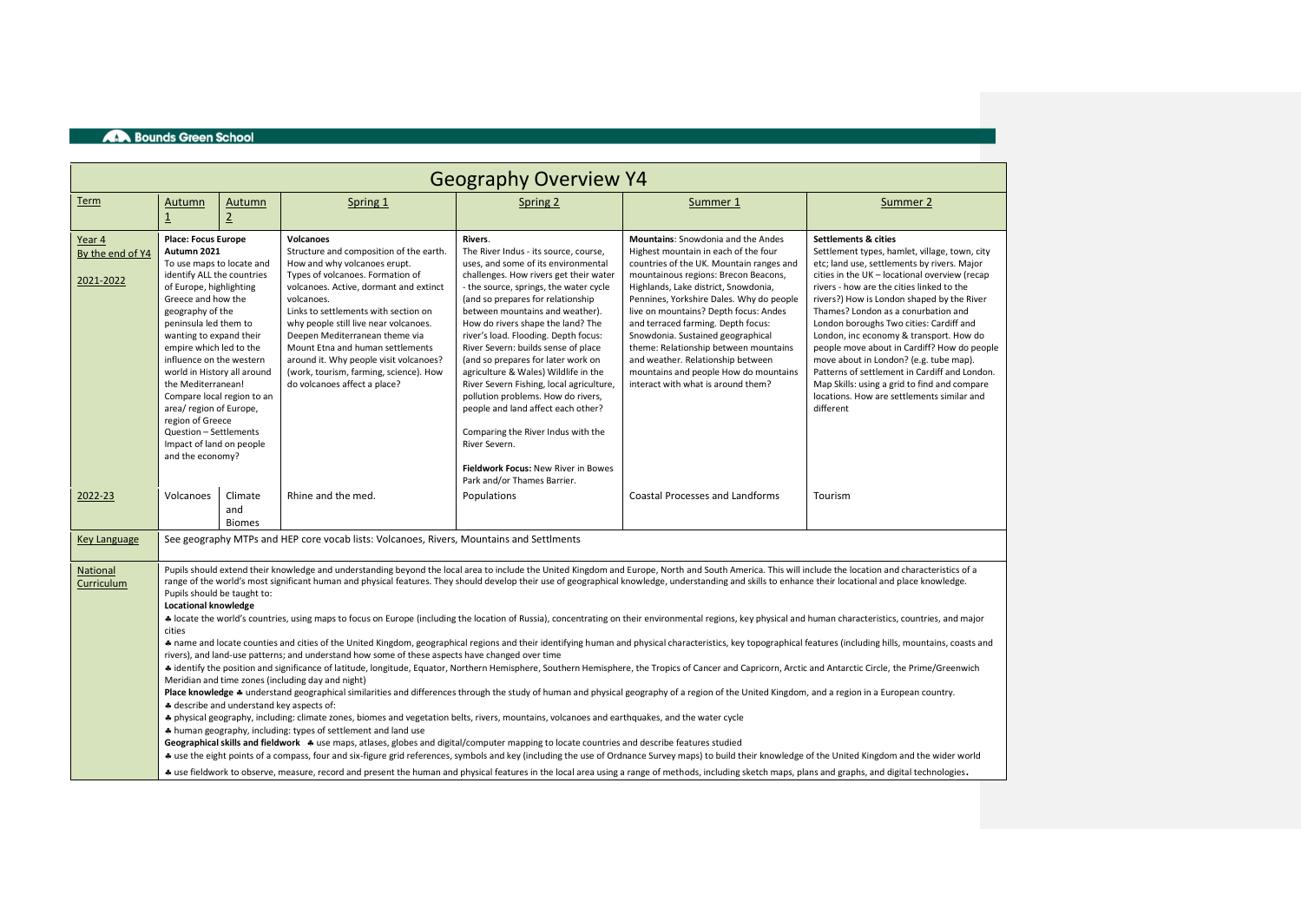| <b>Geography Overview Y4</b>            |                                                                                                                                                                                                                                                                                                                                                                                                                                                                                                                                                                                                                                                                                                                                                                                                                                                                                                                                                                                                                                                                                                                                                                                                                                                                                                                                                                                                                                                                                                                                                                                                                                                                                                                                                                                                                                                                                                                                                                                                                                                                                                                                                                                                                                                                                                                                           |                                 |                                                                                                                                                                                                                                                                                                                                                                                                                                                                    |                                                                                                                                                                                                                                                                                                                                                                                                                                                                                                                                                                                                                                                                                                            |                                                                                                                                                                                                                                                                                                                                                                                                                                                                                                                                            |                                                                                                                                                                                                                                                                                                                                                                                                                                                                                                                                                                                                                                                               |  |  |  |
|-----------------------------------------|-------------------------------------------------------------------------------------------------------------------------------------------------------------------------------------------------------------------------------------------------------------------------------------------------------------------------------------------------------------------------------------------------------------------------------------------------------------------------------------------------------------------------------------------------------------------------------------------------------------------------------------------------------------------------------------------------------------------------------------------------------------------------------------------------------------------------------------------------------------------------------------------------------------------------------------------------------------------------------------------------------------------------------------------------------------------------------------------------------------------------------------------------------------------------------------------------------------------------------------------------------------------------------------------------------------------------------------------------------------------------------------------------------------------------------------------------------------------------------------------------------------------------------------------------------------------------------------------------------------------------------------------------------------------------------------------------------------------------------------------------------------------------------------------------------------------------------------------------------------------------------------------------------------------------------------------------------------------------------------------------------------------------------------------------------------------------------------------------------------------------------------------------------------------------------------------------------------------------------------------------------------------------------------------------------------------------------------------|---------------------------------|--------------------------------------------------------------------------------------------------------------------------------------------------------------------------------------------------------------------------------------------------------------------------------------------------------------------------------------------------------------------------------------------------------------------------------------------------------------------|------------------------------------------------------------------------------------------------------------------------------------------------------------------------------------------------------------------------------------------------------------------------------------------------------------------------------------------------------------------------------------------------------------------------------------------------------------------------------------------------------------------------------------------------------------------------------------------------------------------------------------------------------------------------------------------------------------|--------------------------------------------------------------------------------------------------------------------------------------------------------------------------------------------------------------------------------------------------------------------------------------------------------------------------------------------------------------------------------------------------------------------------------------------------------------------------------------------------------------------------------------------|---------------------------------------------------------------------------------------------------------------------------------------------------------------------------------------------------------------------------------------------------------------------------------------------------------------------------------------------------------------------------------------------------------------------------------------------------------------------------------------------------------------------------------------------------------------------------------------------------------------------------------------------------------------|--|--|--|
| Term                                    | Autumn<br>$\overline{1}$                                                                                                                                                                                                                                                                                                                                                                                                                                                                                                                                                                                                                                                                                                                                                                                                                                                                                                                                                                                                                                                                                                                                                                                                                                                                                                                                                                                                                                                                                                                                                                                                                                                                                                                                                                                                                                                                                                                                                                                                                                                                                                                                                                                                                                                                                                                  | Autumn<br>$\overline{2}$        | Spring 1                                                                                                                                                                                                                                                                                                                                                                                                                                                           | Spring 2                                                                                                                                                                                                                                                                                                                                                                                                                                                                                                                                                                                                                                                                                                   | Summer 1                                                                                                                                                                                                                                                                                                                                                                                                                                                                                                                                   | Summer 2                                                                                                                                                                                                                                                                                                                                                                                                                                                                                                                                                                                                                                                      |  |  |  |
| Year 4<br>By the end of Y4<br>2021-2022 | <b>Place: Focus Europe</b><br>Autumn 2021<br>To use maps to locate and<br>identify ALL the countries<br>of Europe, highlighting<br>Greece and how the<br>geography of the<br>peninsula led them to<br>wanting to expand their<br>empire which led to the<br>influence on the western<br>world in History all around<br>the Mediterranean!<br>area/ region of Europe,<br>region of Greece<br>Question - Settlements<br>Impact of land on people<br>and the economy?                                                                                                                                                                                                                                                                                                                                                                                                                                                                                                                                                                                                                                                                                                                                                                                                                                                                                                                                                                                                                                                                                                                                                                                                                                                                                                                                                                                                                                                                                                                                                                                                                                                                                                                                                                                                                                                                        | Compare local region to an      | <b>Volcanoes</b><br>Structure and composition of the earth.<br>How and why volcanoes erupt.<br>Types of volcanoes. Formation of<br>volcanoes. Active, dormant and extinct<br>volcanoes.<br>Links to settlements with section on<br>why people still live near volcanoes.<br>Deepen Mediterranean theme via<br>Mount Etna and human settlements<br>around it. Why people visit volcanoes?<br>(work, tourism, farming, science). How<br>do volcanoes affect a place? | Rivers.<br>The River Indus - its source, course,<br>uses, and some of its environmental<br>challenges. How rivers get their water<br>- the source, springs, the water cycle<br>(and so prepares for relationship<br>between mountains and weather).<br>How do rivers shape the land? The<br>river's load. Flooding. Depth focus:<br>River Severn: builds sense of place<br>(and so prepares for later work on<br>agriculture & Wales) Wildlife in the<br>River Severn Fishing, local agriculture,<br>pollution problems. How do rivers,<br>people and land affect each other?<br>Comparing the River Indus with the<br>River Severn.<br>Fieldwork Focus: New River in Bowes<br>Park and/or Thames Barrier. | <b>Mountains:</b> Snowdonia and the Andes<br>Highest mountain in each of the four<br>countries of the UK. Mountain ranges and<br>mountainous regions: Brecon Beacons,<br>Highlands, Lake district, Snowdonia,<br>Pennines, Yorkshire Dales. Why do people<br>live on mountains? Depth focus: Andes<br>and terraced farming. Depth focus:<br>Snowdonia. Sustained geographical<br>theme: Relationship between mountains<br>and weather. Relationship between<br>mountains and people How do mountains<br>interact with what is around them? | <b>Settlements &amp; cities</b><br>Settlement types, hamlet, village, town, city<br>etc; land use, settlements by rivers. Major<br>cities in the UK - locational overview (recap<br>rivers - how are the cities linked to the<br>rivers?) How is London shaped by the River<br>Thames? London as a conurbation and<br>London boroughs Two cities: Cardiff and<br>London, inc economy & transport. How do<br>people move about in Cardiff? How do people<br>move about in London? (e.g. tube map).<br>Patterns of settlement in Cardiff and London.<br>Map Skills: using a grid to find and compare<br>locations. How are settlements similar and<br>different |  |  |  |
| 2022-23                                 | Volcanoes                                                                                                                                                                                                                                                                                                                                                                                                                                                                                                                                                                                                                                                                                                                                                                                                                                                                                                                                                                                                                                                                                                                                                                                                                                                                                                                                                                                                                                                                                                                                                                                                                                                                                                                                                                                                                                                                                                                                                                                                                                                                                                                                                                                                                                                                                                                                 | Climate<br>and<br><b>Biomes</b> | Rhine and the med.                                                                                                                                                                                                                                                                                                                                                                                                                                                 | Populations                                                                                                                                                                                                                                                                                                                                                                                                                                                                                                                                                                                                                                                                                                | Coastal Processes and Landforms                                                                                                                                                                                                                                                                                                                                                                                                                                                                                                            | Tourism                                                                                                                                                                                                                                                                                                                                                                                                                                                                                                                                                                                                                                                       |  |  |  |
| Key Language                            |                                                                                                                                                                                                                                                                                                                                                                                                                                                                                                                                                                                                                                                                                                                                                                                                                                                                                                                                                                                                                                                                                                                                                                                                                                                                                                                                                                                                                                                                                                                                                                                                                                                                                                                                                                                                                                                                                                                                                                                                                                                                                                                                                                                                                                                                                                                                           |                                 | See geography MTPs and HEP core vocab lists: Volcanoes, Rivers, Mountains and Settlments                                                                                                                                                                                                                                                                                                                                                                           |                                                                                                                                                                                                                                                                                                                                                                                                                                                                                                                                                                                                                                                                                                            |                                                                                                                                                                                                                                                                                                                                                                                                                                                                                                                                            |                                                                                                                                                                                                                                                                                                                                                                                                                                                                                                                                                                                                                                                               |  |  |  |
| National<br>Curriculum                  | Pupils should extend their knowledge and understanding beyond the local area to include the United Kingdom and Europe, North and South America. This will include the location and characteristics of a<br>range of the world's most significant human and physical features. They should develop their use of geographical knowledge, understanding and skills to enhance their locational and place knowledge.<br>Pupils should be taught to:<br><b>Locational knowledge</b><br>+ locate the world's countries, using maps to focus on Europe (including the location of Russia), concentrating on their environmental regions, key physical and human characteristics, countries, and major<br>cities<br>* name and locate counties and cities of the United Kingdom, geographical regions and their identifying human and physical characteristics, key topographical features (including hills, mountains, coasts and<br>rivers), and land-use patterns; and understand how some of these aspects have changed over time<br># identify the position and significance of latitude, longitude, Equator, Northern Hemisphere, Southern Hemisphere, the Tropics of Cancer and Capricorn, Arctic and Antarctic Circle, the Prime/Greenwich<br>Meridian and time zones (including day and night)<br>Place knowledge * understand geographical similarities and differences through the study of human and physical geography of a region of the United Kingdom, and a region in a European country.<br># describe and understand key aspects of:<br># physical geography, including: climate zones, biomes and vegetation belts, rivers, mountains, volcanoes and earthquakes, and the water cycle<br>* human geography, including: types of settlement and land use<br>Geographical skills and fieldwork * use maps, atlases, globes and digital/computer mapping to locate countries and describe features studied<br>+ use the eight points of a compass, four and six-figure grid references, symbols and key (including the use of Ordnance Survey maps) to build their knowledge of the United Kingdom and the wider world<br>+ use fieldwork to observe, measure, record and present the human and physical features in the local area using a range of methods, including sketch maps, plans and graphs, and digital technologies. |                                 |                                                                                                                                                                                                                                                                                                                                                                                                                                                                    |                                                                                                                                                                                                                                                                                                                                                                                                                                                                                                                                                                                                                                                                                                            |                                                                                                                                                                                                                                                                                                                                                                                                                                                                                                                                            |                                                                                                                                                                                                                                                                                                                                                                                                                                                                                                                                                                                                                                                               |  |  |  |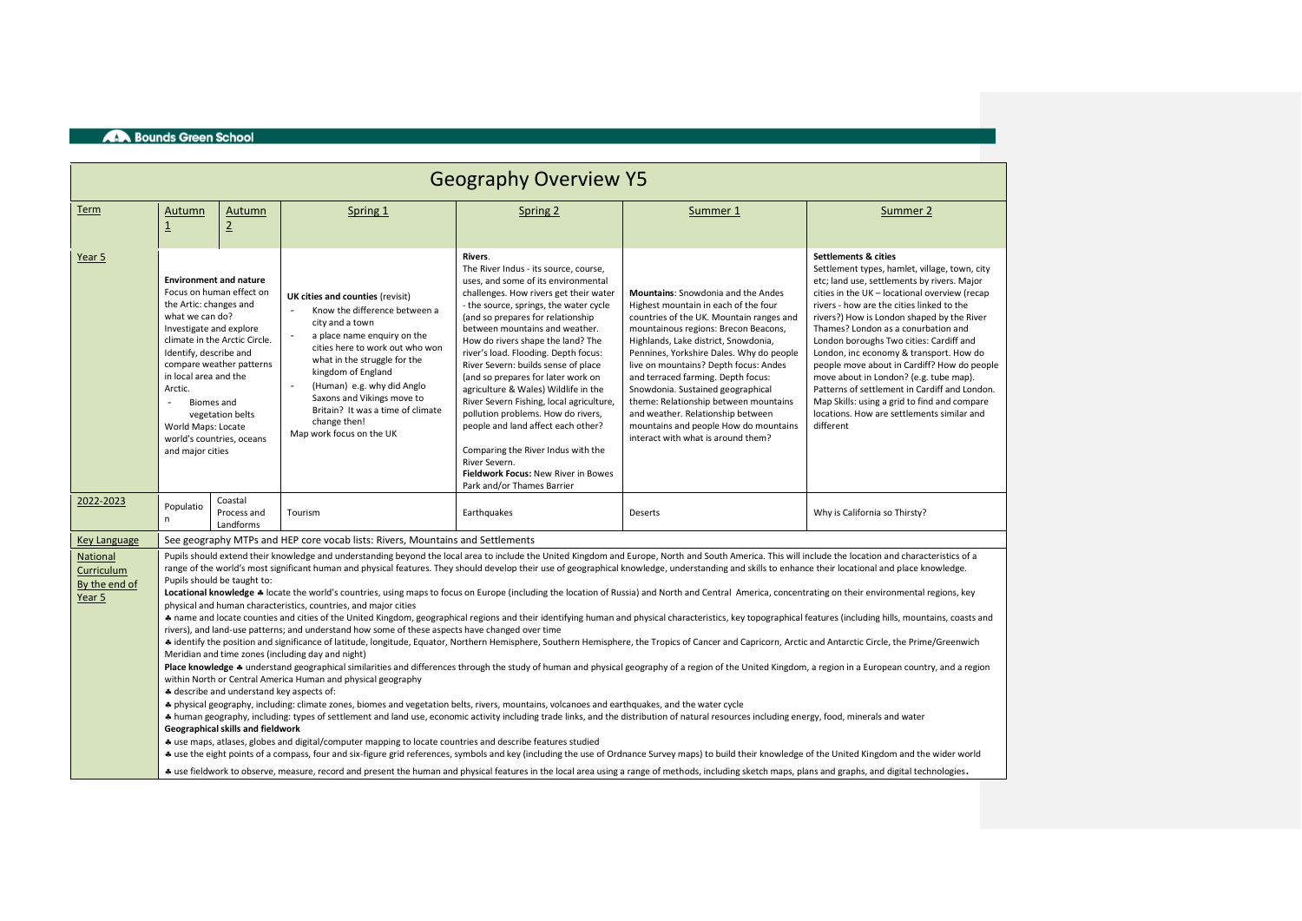| <b>Geography Overview Y5</b>                      |                                                                                                                                                                                                                                                                                                                                                                                                                                                                                                                                                                                                                                                                                                                                                                                                                                                                                                                                                                                                                                                                                                                                                                                                                                                                                                                                                                                                                                                                                                                                                                                                                                                                                                                                                                                                                                                                                                                                                                                                                                                                                                                                                                                                                                                                                                                                                                                                                                                                                                                                                                                                                                                            |                                                                                                                                                                         |                                                                                                                                                                                                                                                                                                                                                           |                                                                                                                                                                                                                                                                                                                                                                                                                                                                                                                                                                                                                                                                                                          |                                                                                                                                                                                                                                                                                                                                                                                                                                                                                                                                            |                                                                                                                                                                                                                                                                                                                                                                                                                                                                                                                                                                                                                                                               |  |  |  |
|---------------------------------------------------|------------------------------------------------------------------------------------------------------------------------------------------------------------------------------------------------------------------------------------------------------------------------------------------------------------------------------------------------------------------------------------------------------------------------------------------------------------------------------------------------------------------------------------------------------------------------------------------------------------------------------------------------------------------------------------------------------------------------------------------------------------------------------------------------------------------------------------------------------------------------------------------------------------------------------------------------------------------------------------------------------------------------------------------------------------------------------------------------------------------------------------------------------------------------------------------------------------------------------------------------------------------------------------------------------------------------------------------------------------------------------------------------------------------------------------------------------------------------------------------------------------------------------------------------------------------------------------------------------------------------------------------------------------------------------------------------------------------------------------------------------------------------------------------------------------------------------------------------------------------------------------------------------------------------------------------------------------------------------------------------------------------------------------------------------------------------------------------------------------------------------------------------------------------------------------------------------------------------------------------------------------------------------------------------------------------------------------------------------------------------------------------------------------------------------------------------------------------------------------------------------------------------------------------------------------------------------------------------------------------------------------------------------------|-------------------------------------------------------------------------------------------------------------------------------------------------------------------------|-----------------------------------------------------------------------------------------------------------------------------------------------------------------------------------------------------------------------------------------------------------------------------------------------------------------------------------------------------------|----------------------------------------------------------------------------------------------------------------------------------------------------------------------------------------------------------------------------------------------------------------------------------------------------------------------------------------------------------------------------------------------------------------------------------------------------------------------------------------------------------------------------------------------------------------------------------------------------------------------------------------------------------------------------------------------------------|--------------------------------------------------------------------------------------------------------------------------------------------------------------------------------------------------------------------------------------------------------------------------------------------------------------------------------------------------------------------------------------------------------------------------------------------------------------------------------------------------------------------------------------------|---------------------------------------------------------------------------------------------------------------------------------------------------------------------------------------------------------------------------------------------------------------------------------------------------------------------------------------------------------------------------------------------------------------------------------------------------------------------------------------------------------------------------------------------------------------------------------------------------------------------------------------------------------------|--|--|--|
| Term                                              | Autumn<br>$\overline{1}$                                                                                                                                                                                                                                                                                                                                                                                                                                                                                                                                                                                                                                                                                                                                                                                                                                                                                                                                                                                                                                                                                                                                                                                                                                                                                                                                                                                                                                                                                                                                                                                                                                                                                                                                                                                                                                                                                                                                                                                                                                                                                                                                                                                                                                                                                                                                                                                                                                                                                                                                                                                                                                   | Autumn<br>$\underline{2}$                                                                                                                                               | Spring 1                                                                                                                                                                                                                                                                                                                                                  | Spring 2                                                                                                                                                                                                                                                                                                                                                                                                                                                                                                                                                                                                                                                                                                 | Summer 1                                                                                                                                                                                                                                                                                                                                                                                                                                                                                                                                   | Summer 2                                                                                                                                                                                                                                                                                                                                                                                                                                                                                                                                                                                                                                                      |  |  |  |
| Year <sub>5</sub>                                 | the Artic: changes and<br>what we can do?<br>Investigate and explore<br>Identify, describe and<br>in local area and the<br>Arctic.<br><b>Biomes</b> and<br>$\overline{\phantom{0}}$<br>World Maps: Locate<br>and major cities                                                                                                                                                                                                                                                                                                                                                                                                                                                                                                                                                                                                                                                                                                                                                                                                                                                                                                                                                                                                                                                                                                                                                                                                                                                                                                                                                                                                                                                                                                                                                                                                                                                                                                                                                                                                                                                                                                                                                                                                                                                                                                                                                                                                                                                                                                                                                                                                                              | <b>Environment and nature</b><br>Focus on human effect on<br>climate in the Arctic Circle.<br>compare weather patterns<br>vegetation belts<br>world's countries, oceans | UK cities and counties (revisit)<br>Know the difference between a<br>city and a town<br>a place name enquiry on the<br>cities here to work out who won<br>what in the struggle for the<br>kingdom of England<br>(Human) e.g. why did Anglo<br>Saxons and Vikings move to<br>Britain? It was a time of climate<br>change then!<br>Map work focus on the UK | Rivers.<br>The River Indus - its source, course,<br>uses, and some of its environmental<br>challenges. How rivers get their water<br>- the source, springs, the water cycle<br>(and so prepares for relationship<br>between mountains and weather.<br>How do rivers shape the land? The<br>river's load. Flooding. Depth focus:<br>River Severn: builds sense of place<br>(and so prepares for later work on<br>agriculture & Wales) Wildlife in the<br>River Severn Fishing, local agriculture,<br>pollution problems. How do rivers,<br>people and land affect each other?<br>Comparing the River Indus with the<br>River Severn.<br>Fieldwork Focus: New River in Bowes<br>Park and/or Thames Barrier | <b>Mountains:</b> Snowdonia and the Andes<br>Highest mountain in each of the four<br>countries of the UK. Mountain ranges and<br>mountainous regions: Brecon Beacons,<br>Highlands, Lake district, Snowdonia,<br>Pennines, Yorkshire Dales. Why do people<br>live on mountains? Depth focus: Andes<br>and terraced farming. Depth focus:<br>Snowdonia. Sustained geographical<br>theme: Relationship between mountains<br>and weather. Relationship between<br>mountains and people How do mountains<br>interact with what is around them? | <b>Settlements &amp; cities</b><br>Settlement types, hamlet, village, town, city<br>etc; land use, settlements by rivers. Major<br>cities in the UK - locational overview (recap<br>rivers - how are the cities linked to the<br>rivers?) How is London shaped by the River<br>Thames? London as a conurbation and<br>London boroughs Two cities: Cardiff and<br>London, inc economy & transport. How do<br>people move about in Cardiff? How do people<br>move about in London? (e.g. tube map).<br>Patterns of settlement in Cardiff and London.<br>Map Skills: using a grid to find and compare<br>locations. How are settlements similar and<br>different |  |  |  |
| 2022-2023                                         | Populatio<br>n                                                                                                                                                                                                                                                                                                                                                                                                                                                                                                                                                                                                                                                                                                                                                                                                                                                                                                                                                                                                                                                                                                                                                                                                                                                                                                                                                                                                                                                                                                                                                                                                                                                                                                                                                                                                                                                                                                                                                                                                                                                                                                                                                                                                                                                                                                                                                                                                                                                                                                                                                                                                                                             | Coastal<br>Process and<br>Landforms                                                                                                                                     | Tourism                                                                                                                                                                                                                                                                                                                                                   | Earthquakes                                                                                                                                                                                                                                                                                                                                                                                                                                                                                                                                                                                                                                                                                              | Deserts                                                                                                                                                                                                                                                                                                                                                                                                                                                                                                                                    | Why is California so Thirsty?                                                                                                                                                                                                                                                                                                                                                                                                                                                                                                                                                                                                                                 |  |  |  |
| <b>Key Language</b>                               |                                                                                                                                                                                                                                                                                                                                                                                                                                                                                                                                                                                                                                                                                                                                                                                                                                                                                                                                                                                                                                                                                                                                                                                                                                                                                                                                                                                                                                                                                                                                                                                                                                                                                                                                                                                                                                                                                                                                                                                                                                                                                                                                                                                                                                                                                                                                                                                                                                                                                                                                                                                                                                                            |                                                                                                                                                                         |                                                                                                                                                                                                                                                                                                                                                           |                                                                                                                                                                                                                                                                                                                                                                                                                                                                                                                                                                                                                                                                                                          |                                                                                                                                                                                                                                                                                                                                                                                                                                                                                                                                            |                                                                                                                                                                                                                                                                                                                                                                                                                                                                                                                                                                                                                                                               |  |  |  |
| National<br>Curriculum<br>By the end of<br>Year 5 | See geography MTPs and HEP core vocab lists: Rivers, Mountains and Settlements<br>Pupils should extend their knowledge and understanding beyond the local area to include the United Kingdom and Europe, North and South America. This will include the location and characteristics of a<br>range of the world's most significant human and physical features. They should develop their use of geographical knowledge, understanding and skills to enhance their locational and place knowledge.<br>Pupils should be taught to:<br>Locational knowledge * locate the world's countries, using maps to focus on Europe (including the location of Russia) and North and Central America, concentrating on their environmental regions, key<br>physical and human characteristics, countries, and major cities<br>* name and locate counties and cities of the United Kingdom, geographical regions and their identifying human and physical characteristics, key topographical features (including hills, mountains, coasts and<br>rivers), and land-use patterns; and understand how some of these aspects have changed over time<br>+ identify the position and significance of latitude, longitude, Equator, Northern Hemisphere, Southern Hemisphere, the Tropics of Cancer and Capricorn, Arctic and Antarctic Circle, the Prime/Greenwich<br>Meridian and time zones (including day and night)<br>Place knowledge 4 understand geographical similarities and differences through the study of human and physical geography of a region of the United Kingdom, a region in a European country, and a region<br>within North or Central America Human and physical geography<br># describe and understand key aspects of:<br># physical geography, including: climate zones, biomes and vegetation belts, rivers, mountains, volcanoes and earthquakes, and the water cycle<br>+ human geography, including: types of settlement and land use, economic activity including trade links, and the distribution of natural resources including energy, food, minerals and water<br>Geographical skills and fieldwork<br>* use maps, atlases, globes and digital/computer mapping to locate countries and describe features studied<br>+ use the eight points of a compass, four and six-figure grid references, symbols and key (including the use of Ordnance Survey maps) to build their knowledge of the United Kingdom and the wider world<br>+ use fieldwork to observe, measure, record and present the human and physical features in the local area using a range of methods, including sketch maps, plans and graphs, and digital technologies. |                                                                                                                                                                         |                                                                                                                                                                                                                                                                                                                                                           |                                                                                                                                                                                                                                                                                                                                                                                                                                                                                                                                                                                                                                                                                                          |                                                                                                                                                                                                                                                                                                                                                                                                                                                                                                                                            |                                                                                                                                                                                                                                                                                                                                                                                                                                                                                                                                                                                                                                                               |  |  |  |